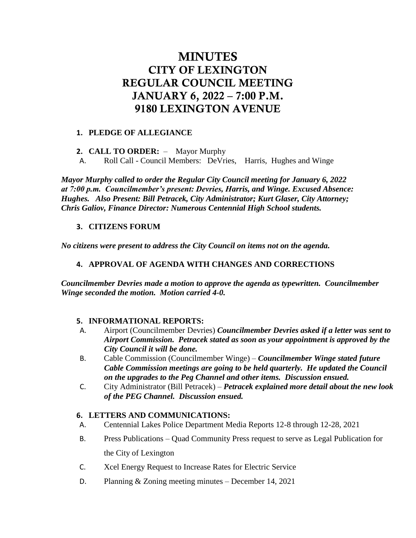# MINUTES CITY OF LEXINGTON REGULAR COUNCIL MEETING JANUARY 6, 2022 – 7:00 P.M. 9180 LEXINGTON AVENUE

# **1. PLEDGE OF ALLEGIANCE**

- **2. CALL TO ORDER:**  Mayor Murphy
- A. Roll Call Council Members: DeVries, Harris, Hughes and Winge

*Mayor Murphy called to order the Regular City Council meeting for January 6, 2022 at 7:00 p.m. Councilmember's present: Devries, Harris, and Winge. Excused Absence: Hughes. Also Present: Bill Petracek, City Administrator; Kurt Glaser, City Attorney; Chris Galiov, Finance Director: Numerous Centennial High School students.*

## **3. CITIZENS FORUM**

*No citizens were present to address the City Council on items not on the agenda.*

## **4. APPROVAL OF AGENDA WITH CHANGES AND CORRECTIONS**

*Councilmember Devries made a motion to approve the agenda as typewritten. Councilmember Winge seconded the motion. Motion carried 4-0.*

#### **5. INFORMATIONAL REPORTS:**

- A. Airport (Councilmember Devries) *Councilmember Devries asked if a letter was sent to Airport Commission. Petracek stated as soon as your appointment is approved by the City Council it will be done.*
- B. Cable Commission (Councilmember Winge) *Councilmember Winge stated future Cable Commission meetings are going to be held quarterly. He updated the Council on the upgrades to the Peg Channel and other items. Discussion ensued.*
- C. City Administrator (Bill Petracek) *Petracek explained more detail about the new look of the PEG Channel. Discussion ensued.*

#### **6. LETTERS AND COMMUNICATIONS:**

- A. Centennial Lakes Police Department Media Reports 12-8 through 12-28, 2021
- B. Press Publications Quad Community Press request to serve as Legal Publication for the City of Lexington
- C. Xcel Energy Request to Increase Rates for Electric Service
- D. Planning & Zoning meeting minutes December 14, 2021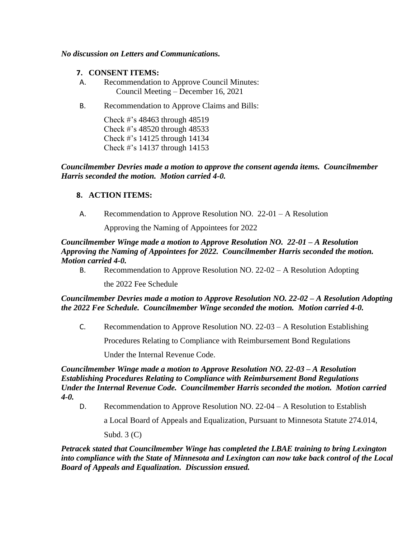#### *No discussion on Letters and Communications.*

- **7. CONSENT ITEMS:**
- A. Recommendation to Approve Council Minutes: Council Meeting – December 16, 2021
- B. Recommendation to Approve Claims and Bills:

Check #'s 48463 through 48519 Check #'s 48520 through 48533 Check #'s 14125 through 14134 Check #'s 14137 through 14153

*Councilmember Devries made a motion to approve the consent agenda items. Councilmember Harris seconded the motion. Motion carried 4-0.*

## **8. ACTION ITEMS:**

A. Recommendation to Approve Resolution NO. 22-01 – A Resolution

Approving the Naming of Appointees for 2022

*Councilmember Winge made a motion to Approve Resolution NO. 22-01 – A Resolution Approving the Naming of Appointees for 2022. Councilmember Harris seconded the motion. Motion carried 4-0.* 

B. Recommendation to Approve Resolution NO. 22-02 – A Resolution Adopting

the 2022 Fee Schedule

## *Councilmember Devries made a motion to Approve Resolution NO. 22-02 – A Resolution Adopting the 2022 Fee Schedule. Councilmember Winge seconded the motion. Motion carried 4-0.*

C. Recommendation to Approve Resolution NO. 22-03 – A Resolution Establishing

Procedures Relating to Compliance with Reimbursement Bond Regulations

Under the Internal Revenue Code.

*Councilmember Winge made a motion to Approve Resolution NO. 22-03 – A Resolution Establishing Procedures Relating to Compliance with Reimbursement Bond Regulations Under the Internal Revenue Code. Councilmember Harris seconded the motion. Motion carried 4-0.*

D. Recommendation to Approve Resolution NO. 22-04 – A Resolution to Establish

a Local Board of Appeals and Equalization, Pursuant to Minnesota Statute 274.014,

Subd.  $3 (C)$ 

*Petracek stated that Councilmember Winge has completed the LBAE training to bring Lexington into compliance with the State of Minnesota and Lexington can now take back control of the Local Board of Appeals and Equalization. Discussion ensued.*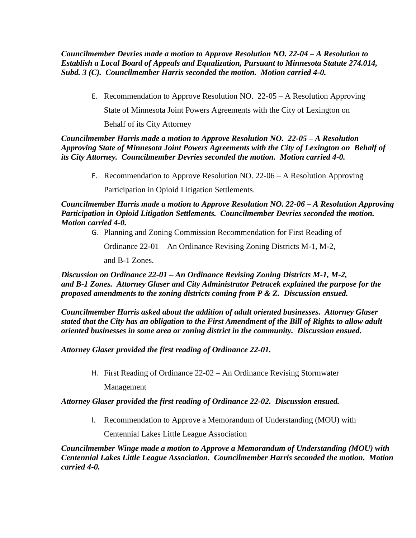*Councilmember Devries made a motion to Approve Resolution NO. 22-04 – A Resolution to Establish a Local Board of Appeals and Equalization, Pursuant to Minnesota Statute 274.014, Subd. 3 (C). Councilmember Harris seconded the motion. Motion carried 4-0.* 

E. Recommendation to Approve Resolution NO. 22-05 – A Resolution Approving State of Minnesota Joint Powers Agreements with the City of Lexington on Behalf of its City Attorney

*Councilmember Harris made a motion to Approve Resolution NO. 22-05 – A Resolution Approving State of Minnesota Joint Powers Agreements with the City of Lexington on Behalf of its City Attorney. Councilmember Devries seconded the motion. Motion carried 4-0.* 

F. Recommendation to Approve Resolution NO. 22-06 – A Resolution Approving

Participation in Opioid Litigation Settlements.

*Councilmember Harris made a motion to Approve Resolution NO. 22-06 – A Resolution Approving Participation in Opioid Litigation Settlements. Councilmember Devries seconded the motion. Motion carried 4-0.* 

G. Planning and Zoning Commission Recommendation for First Reading of

Ordinance 22-01 – An Ordinance Revising Zoning Districts M-1, M-2,

and B-1 Zones.

*Discussion on Ordinance 22-01 – An Ordinance Revising Zoning Districts M-1, M-2, and B-1 Zones. Attorney Glaser and City Administrator Petracek explained the purpose for the proposed amendments to the zoning districts coming from P & Z. Discussion ensued.*

*Councilmember Harris asked about the addition of adult oriented businesses. Attorney Glaser stated that the City has an obligation to the First Amendment of the Bill of Rights to allow adult oriented businesses in some area or zoning district in the community. Discussion ensued.* 

*Attorney Glaser provided the first reading of Ordinance 22-01.*

H. First Reading of Ordinance 22-02 – An Ordinance Revising Stormwater

Management

*Attorney Glaser provided the first reading of Ordinance 22-02. Discussion ensued.* 

I. Recommendation to Approve a Memorandum of Understanding (MOU) with

Centennial Lakes Little League Association

*Councilmember Winge made a motion to Approve a Memorandum of Understanding (MOU) with Centennial Lakes Little League Association. Councilmember Harris seconded the motion. Motion carried 4-0.*